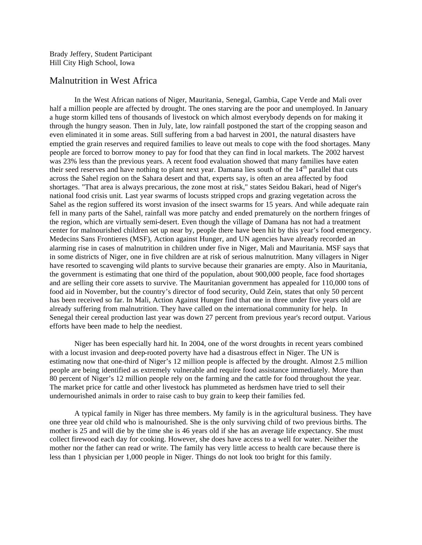Brady Jeffery, Student Participant Hill City High School, Iowa

## Malnutrition in West Africa

In the West African nations of Niger, Mauritania, Senegal, Gambia, Cape Verde and Mali over half a million people are affected by drought. The ones starving are the poor and unemployed. In January a huge storm killed tens of thousands of livestock on which almost everybody depends on for making it through the hungry season. Then in July, late, low rainfall postponed the start of the cropping season and even eliminated it in some areas. Still suffering from a bad harvest in 2001, the natural disasters have emptied the grain reserves and required families to leave out meals to cope with the food shortages. Many people are forced to borrow money to pay for food that they can find in local markets. The 2002 harvest was 23% less than the previous years. A recent food evaluation showed that many families have eaten their seed reserves and have nothing to plant next year. Damana lies south of the 14<sup>th</sup> parallel that cuts across the Sahel region on the Sahara desert and that, experts say, is often an area affected by food shortages. "That area is always precarious, the zone most at risk," states Seidou Bakari, head of Niger's national food crisis unit. Last year swarms of locusts stripped crops and grazing vegetation across the Sahel as the region suffered its worst invasion of the insect swarms for 15 years. And while adequate rain fell in many parts of the Sahel, rainfall was more patchy and ended prematurely on the northern fringes of the region, which are virtually semi-desert. Even though the village of Damana has not had a treatment center for malnourished children set up near by, people there have been hit by this year's food emergency. Medecins Sans Frontieres (MSF), Action against Hunger, and UN agencies have already recorded an alarming rise in cases of malnutrition in children under five in Niger, Mali and Mauritania. MSF says that in some districts of Niger, one in five children are at risk of serious malnutrition. Many villagers in Niger have resorted to scavenging wild plants to survive because their granaries are empty. Also in Mauritania, the government is estimating that one third of the population, about 900,000 people, face food shortages and are selling their core assets to survive. The Mauritanian government has appealed for 110,000 tons of food aid in November, but the country's director of food security, Ould Zein, states that only 50 percent has been received so far. In Mali, Action Against Hunger find that one in three under five years old are already suffering from malnutrition. They have called on the international community for help. In Senegal their cereal production last year was down 27 percent from previous year's record output. Various efforts have been made to help the neediest.

Niger has been especially hard hit. In 2004, one of the worst droughts in recent years combined with a locust invasion and deep-rooted poverty have had a disastrous effect in Niger. The UN is estimating now that one-third of Niger's 12 million people is affected by the drought. Almost 2.5 million people are being identified as extremely vulnerable and require food assistance immediately. More than 80 percent of Niger's 12 million people rely on the farming and the cattle for food throughout the year. The market price for cattle and other livestock has plummeted as herdsmen have tried to sell their undernourished animals in order to raise cash to buy grain to keep their families fed.

A typical family in Niger has three members. My family is in the agricultural business. They have one three year old child who is malnourished. She is the only surviving child of two previous births. The mother is 25 and will die by the time she is 46 years old if she has an average life expectancy. She must collect firewood each day for cooking. However, she does have access to a well for water. Neither the mother nor the father can read or write. The family has very little access to health care because there is less than 1 physician per 1,000 people in Niger. Things do not look too bright for this family.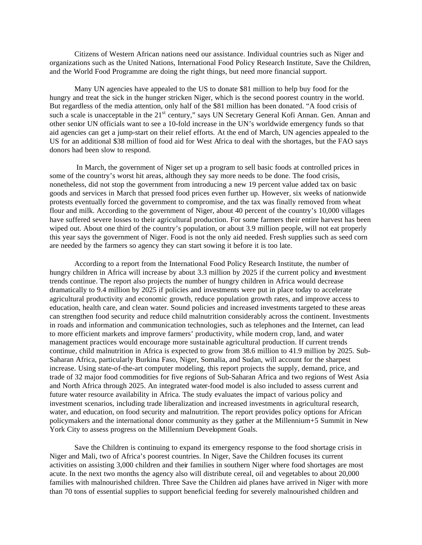Citizens of Western African nations need our assistance. Individual countries such as Niger and organizations such as the United Nations, International Food Policy Research Institute, Save the Children, and the World Food Programme are doing the right things, but need more financial support.

Many UN agencies have appealed to the US to donate \$81 million to help buy food for the hungry and treat the sick in the hunger stricken Niger, which is the second poorest country in the world. But regardless of the media attention, only half of the \$81 million has been donated. "A food crisis of such a scale is unacceptable in the 21<sup>st</sup> century," says UN Secretary General Kofi Annan. Gen. Annan and other senior UN officials want to see a 10-fold increase in the UN's worldwide emergency funds so that aid agencies can get a jump-start on their relief efforts. At the end of March, UN agencies appealed to the US for an additional \$38 million of food aid for West Africa to deal with the shortages, but the FAO says donors had been slow to respond.

In March, the government of Niger set up a program to sell basic foods at controlled prices in some of the country's worst hit areas, although they say more needs to be done. The food crisis, nonetheless, did not stop the government from introducing a new 19 percent value added tax on basic goods and services in March that pressed food prices even further up. However, six weeks of nationwide protests eventually forced the government to compromise, and the tax was finally removed from wheat flour and milk. According to the government of Niger, about 40 percent of the country's 10,000 villages have suffered severe losses to their agricultural production. For some farmers their entire harvest has been wiped out. About one third of the country's population, or about 3.9 million people, will not eat properly this year says the government of Niger. Food is not the only aid needed. Fresh supplies such as seed corn are needed by the farmers so agency they can start sowing it before it is too late.

According to a report from the International Food Policy Research Institute, the number of hungry children in Africa will increase by about 3.3 million by 2025 if the current policy and investment trends continue. The report also projects the number of hungry children in Africa would decrease dramatically to 9.4 million by 2025 if policies and investments were put in place today to accelerate agricultural productivity and economic growth, reduce population growth rates, and improve access to education, health care, and clean water. Sound policies and increased investments targeted to these areas can strengthen food security and reduce child malnutrition considerably across the continent. Investments in roads and information and communication technologies, such as telephones and the Internet, can lead to more efficient markets and improve farmers' productivity, while modern crop, land, and water management practices would encourage more sustainable agricultural production. If current trends continue, child malnutrition in Africa is expected to grow from 38.6 million to 41.9 million by 2025. Sub-Saharan Africa, particularly Burkina Faso, Niger, Somalia, and Sudan, will account for the sharpest increase. Using state-of-the-art computer modeling, this report projects the supply, demand, price, and trade of 32 major food commodities for five regions of Sub-Saharan Africa and two regions of West Asia and North Africa through 2025. An integrated water-food model is also included to assess current and future water resource availability in Africa. The study evaluates the impact of various policy and investment scenarios, including trade liberalization and increased investments in agricultural research, water, and education, on food security and malnutrition. The report provides policy options for African policymakers and the international donor community as they gather at the Millennium+5 Summit in New York City to assess progress on the Millennium Development Goals.

Save the Children is continuing to expand its emergency response to the food shortage crisis in Niger and Mali, two of Africa's poorest countries. In Niger, Save the Children focuses its current activities on assisting 3,000 children and their families in southern Niger where food shortages are most acute. In the next two months the agency also will distribute cereal, oil and vegetables to about 20,000 families with malnourished children. Three Save the Children aid planes have arrived in Niger with more than 70 tons of essential supplies to support beneficial feeding for severely malnourished children and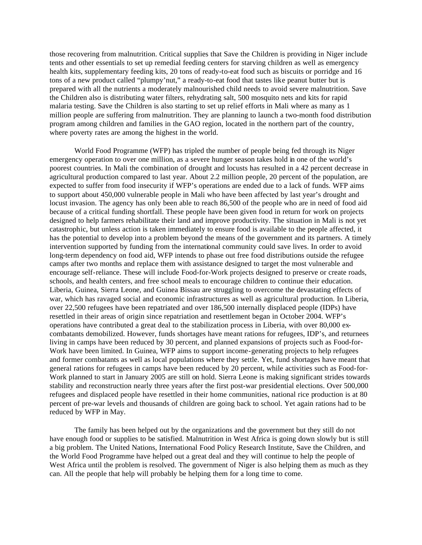those recovering from malnutrition. Critical supplies that Save the Children is providing in Niger include tents and other essentials to set up remedial feeding centers for starving children as well as emergency health kits, supplementary feeding kits, 20 tons of ready-to-eat food such as biscuits or porridge and 16 tons of a new product called "plumpy'nut," a ready-to-eat food that tastes like peanut butter but is prepared with all the nutrients a moderately malnourished child needs to avoid severe malnutrition. Save the Children also is distributing water filters, rehydrating salt, 500 mosquito nets and kits for rapid malaria testing. Save the Children is also starting to set up relief efforts in Mali where as many as 1 million people are suffering from malnutrition. They are planning to launch a two-month food distribution program among children and families in the GAO region, located in the northern part of the country, where poverty rates are among the highest in the world.

World Food Programme (WFP) has tripled the number of people being fed through its Niger emergency operation to over one million, as a severe hunger season takes hold in one of the world's poorest countries. In Mali the combination of drought and locusts has resulted in a 42 percent decrease in agricultural production compared to last year. About 2.2 million people, 20 percent of the population, are expected to suffer from food insecurity if WFP's operations are ended due to a lack of funds. WFP aims to support about 450,000 vulnerable people in Mali who have been affected by last year's drought and locust invasion. The agency has only been able to reach 86,500 of the people who are in need of food aid because of a critical funding shortfall. These people have been given food in return for work on projects designed to help farmers rehabilitate their land and improve productivity. The situation in Mali is not yet catastrophic, but unless action is taken immediately to ensure food is available to the people affected, it has the potential to develop into a problem beyond the means of the government and its partners. A timely intervention supported by funding from the international community could save lives. In order to avoid long-term dependency on food aid, WFP intends to phase out free food distributions outside the refugee camps after two months and replace them with assistance designed to target the most vulnerable and encourage self-reliance. These will include Food-for-Work projects designed to preserve or create roads, schools, and health centers, and free school meals to encourage children to continue their education. Liberia, Guinea, Sierra Leone, and Guinea Bissau are struggling to overcome the devastating effects of war, which has ravaged social and economic infrastructures as well as agricultural production. In Liberia, over 22,500 refugees have been repatriated and over 186,500 internally displaced people (IDPs) have resettled in their areas of origin since repatriation and resettlement began in October 2004. WFP's operations have contributed a great deal to the stabilization process in Liberia, with over 80,000 excombatants demobilized. However, funds shortages have meant rations for refugees, IDP's, and returnees living in camps have been reduced by 30 percent, and planned expansions of projects such as Food-for-Work have been limited. In Guinea, WFP aims to support income-generating projects to help refugees and former combatants as well as local populations where they settle. Yet, fund shortages have meant that general rations for refugees in camps have been reduced by 20 percent, while activities such as Food-for-Work planned to start in January 2005 are still on hold. Sierra Leone is making significant strides towards stability and reconstruction nearly three years after the first post-war presidential elections. Over 500,000 refugees and displaced people have resettled in their home communities, national rice production is at 80 percent of pre-war levels and thousands of children are going back to school. Yet again rations had to be reduced by WFP in May.

The family has been helped out by the organizations and the government but they still do not have enough food or supplies to be satisfied. Malnutrition in West Africa is going down slowly but is still a big problem. The United Nations, International Food Policy Research Institute, Save the Children, and the World Food Programme have helped out a great deal and they will continue to help the people of West Africa until the problem is resolved. The government of Niger is also helping them as much as they can. All the people that help will probably be helping them for a long time to come.